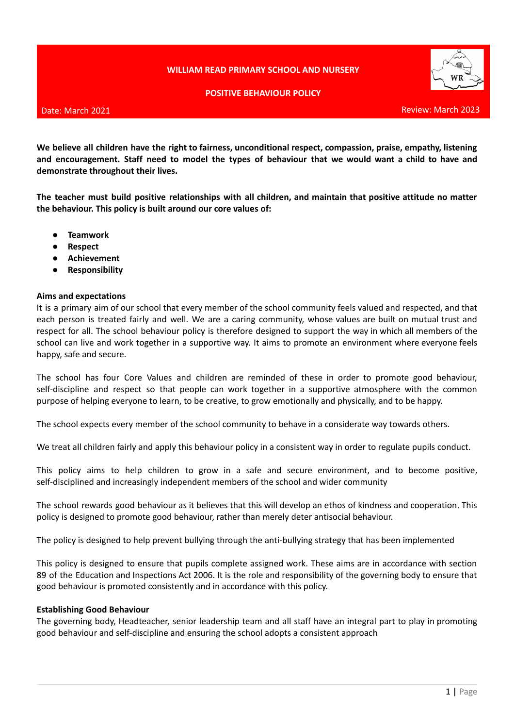# **WILLIAM READ PRIMARY SCHOOL AND NURSERY**



### **POSITIVE BEHAVIOUR POLICY**

### Date: March 2021

**We believe all children have the right to fairness, unconditional respect, compassion, praise, empathy, listening** and encouragement. Staff need to model the types of behaviour that we would want a child to have and **demonstrate throughout their lives.**

**The teacher must build positive relationships with all children, and maintain that positive attitude no matter the behaviour. This policy is built around our core values of:**

- **● Teamwork**
- **● Respect**
- **● Achievement**
- **● Responsibility**

### **Aims and expectations**

It is a primary aim of our school that every member of the school community feels valued and respected, and that each person is treated fairly and well. We are a caring community, whose values are built on mutual trust and respect for all. The school behaviour policy is therefore designed to support the way in which all members of the school can live and work together in a supportive way. It aims to promote an environment where everyone feels happy, safe and secure.

The school has four Core Values and children are reminded of these in order to promote good behaviour, self-discipline and respect so that people can work together in a supportive atmosphere with the common purpose of helping everyone to learn, to be creative, to grow emotionally and physically, and to be happy.

The school expects every member of the school community to behave in a considerate way towards others.

We treat all children fairly and apply this behaviour policy in a consistent way in order to regulate pupils conduct.

This policy aims to help children to grow in a safe and secure environment, and to become positive, self-disciplined and increasingly independent members of the school and wider community

The school rewards good behaviour as it believes that this will develop an ethos of kindness and cooperation. This policy is designed to promote good behaviour, rather than merely deter antisocial behaviour.

The policy is designed to help prevent bullying through the anti-bullying strategy that has been implemented

This policy is designed to ensure that pupils complete assigned work. These aims are in accordance with section 89 of the Education and Inspections Act 2006. It is the role and responsibility of the governing body to ensure that good behaviour is promoted consistently and in accordance with this policy.

#### **Establishing Good Behaviour**

The governing body, Headteacher, senior leadership team and all staff have an integral part to play in promoting good behaviour and self-discipline and ensuring the school adopts a consistent approach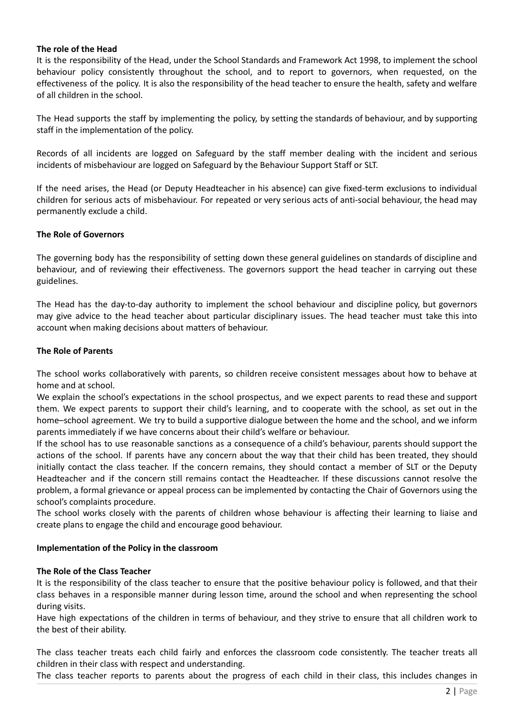## **The role of the Head**

It is the responsibility of the Head, under the School Standards and Framework Act 1998, to implement the school behaviour policy consistently throughout the school, and to report to governors, when requested, on the effectiveness of the policy. It is also the responsibility of the head teacher to ensure the health, safety and welfare of all children in the school.

The Head supports the staff by implementing the policy, by setting the standards of behaviour, and by supporting staff in the implementation of the policy.

Records of all incidents are logged on Safeguard by the staff member dealing with the incident and serious incidents of misbehaviour are logged on Safeguard by the Behaviour Support Staff or SLT.

If the need arises, the Head (or Deputy Headteacher in his absence) can give fixed-term exclusions to individual children for serious acts of misbehaviour. For repeated or very serious acts of anti-social behaviour, the head may permanently exclude a child.

## **The Role of Governors**

The governing body has the responsibility of setting down these general guidelines on standards of discipline and behaviour, and of reviewing their effectiveness. The governors support the head teacher in carrying out these guidelines.

The Head has the day-to-day authority to implement the school behaviour and discipline policy, but governors may give advice to the head teacher about particular disciplinary issues. The head teacher must take this into account when making decisions about matters of behaviour.

# **The Role of Parents**

The school works collaboratively with parents, so children receive consistent messages about how to behave at home and at school.

We explain the school's expectations in the school prospectus, and we expect parents to read these and support them. We expect parents to support their child's learning, and to cooperate with the school, as set out in the home–school agreement. We try to build a supportive dialogue between the home and the school, and we inform parents immediately if we have concerns about their child's welfare or behaviour.

If the school has to use reasonable sanctions as a consequence of a child's behaviour, parents should support the actions of the school. If parents have any concern about the way that their child has been treated, they should initially contact the class teacher. If the concern remains, they should contact a member of SLT or the Deputy Headteacher and if the concern still remains contact the Headteacher. If these discussions cannot resolve the problem, a formal grievance or appeal process can be implemented by contacting the Chair of Governors using the school's complaints procedure.

The school works closely with the parents of children whose behaviour is affecting their learning to liaise and create plans to engage the child and encourage good behaviour.

## **Implementation of the Policy in the classroom**

## **The Role of the Class Teacher**

It is the responsibility of the class teacher to ensure that the positive behaviour policy is followed, and that their class behaves in a responsible manner during lesson time, around the school and when representing the school during visits.

Have high expectations of the children in terms of behaviour, and they strive to ensure that all children work to the best of their ability.

The class teacher treats each child fairly and enforces the classroom code consistently. The teacher treats all children in their class with respect and understanding.

The class teacher reports to parents about the progress of each child in their class, this includes changes in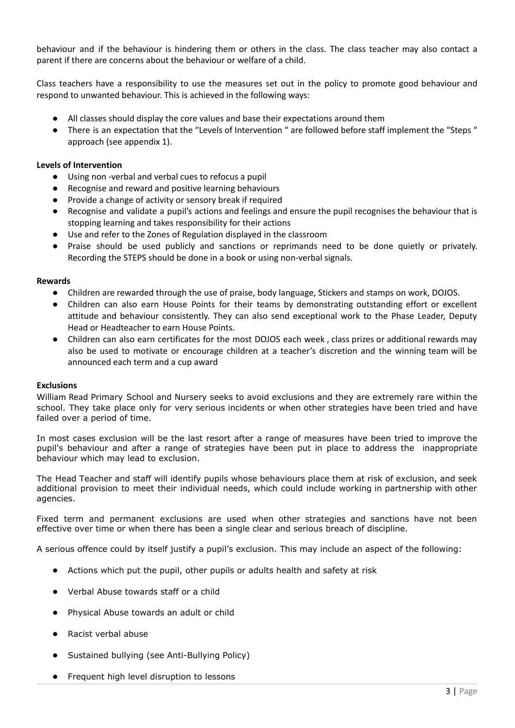behaviour and if the behaviour is hindering them or others in the class. The class teacher may also contact a parent if there are concerns about the behaviour or welfare of a child.

Class teachers have a responsibility to use the measures set out in the policy to promote good behaviour and respond to unwanted behaviour. This is achieved in the following ways:

- All classes should display the core values and base their expectations around them
- There is an expectation that the "Levels of Intervention " are followed before staff implement the "Steps " approach (see appendix 1).

## **Levels of Intervention**

- **●** Using non -verbal and verbal cues to refocus a pupil
- **●** Recognise and reward and positive learning behaviours
- **●** Provide a change of activity or sensory break if required
- **●** Recognise and validate a pupil's actions and feelings and ensure the pupil recognises the behaviour that is stopping learning and takes responsibility for their actions
- **●** Use and refer to the Zones of Regulation displayed in the classroom
- Praise should be used publicly and sanctions or reprimands need to be done quietly or privately. Recording the STEPS should be done in a book or using non-verbal signals.

### **Rewards**

- Children are rewarded through the use of praise, body language, Stickers and stamps on work, DOJOS.
- Children can also earn House Points for their teams by demonstrating outstanding effort or excellent attitude and behaviour consistently. They can also send exceptional work to the Phase Leader, Deputy Head or Headteacher to earn House Points.
- Children can also earn certificates for the most DOJOS each week, class prizes or additional rewards may also be used to motivate or encourage children at a teacher's discretion and the winning team will be announced each term and a cup award

#### **Exclusions**

William Read Primary School and Nursery seeks to avoid exclusions and they are extremely rare within the school. They take place only for very serious incidents or when other strategies have been tried and have failed over a period of time.

In most cases exclusion will be the last resort after a range of measures have been tried to improve the pupil's behaviour and after a range of strategies have been put in place to address the inappropriate behaviour which may lead to exclusion.

The Head Teacher and staff will identify pupils whose behaviours place them at risk of exclusion, and seek additional provision to meet their individual needs, which could include working in partnership with other agencies.

Fixed term and permanent exclusions are used when other strategies and sanctions have not been effective over time or when there has been a single clear and serious breach of discipline.

A serious offence could by itself justify a pupil's exclusion. This may include an aspect of the following:

- Actions which put the pupil, other pupils or adults health and safety at risk
- Verbal Abuse towards staff or a child
- Physical Abuse towards an adult or child
- Racist verbal abuse
- Sustained bullying (see Anti-Bullying Policy)
- Frequent high level disruption to lessons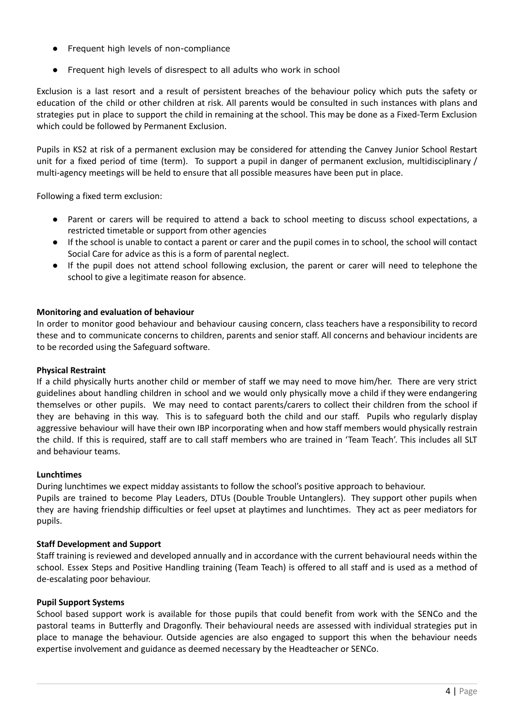- Frequent high levels of non-compliance
- Frequent high levels of disrespect to all adults who work in school

Exclusion is a last resort and a result of persistent breaches of the behaviour policy which puts the safety or education of the child or other children at risk. All parents would be consulted in such instances with plans and strategies put in place to support the child in remaining at the school. This may be done as a Fixed-Term Exclusion which could be followed by Permanent Exclusion.

Pupils in KS2 at risk of a permanent exclusion may be considered for attending the Canvey Junior School Restart unit for a fixed period of time (term). To support a pupil in danger of permanent exclusion, multidisciplinary / multi-agency meetings will be held to ensure that all possible measures have been put in place.

Following a fixed term exclusion:

- Parent or carers will be required to attend a back to school meeting to discuss school expectations, a restricted timetable or support from other agencies
- **●** If the school is unable to contact a parent or carer and the pupil comes in to school, the school will contact Social Care for advice as this is a form of parental neglect.
- If the pupil does not attend school following exclusion, the parent or carer will need to telephone the school to give a legitimate reason for absence.

# **Monitoring and evaluation of behaviour**

In order to monitor good behaviour and behaviour causing concern, class teachers have a responsibility to record these and to communicate concerns to children, parents and senior staff. All concerns and behaviour incidents are to be recorded using the Safeguard software.

## **Physical Restraint**

If a child physically hurts another child or member of staff we may need to move him/her. There are very strict guidelines about handling children in school and we would only physically move a child if they were endangering themselves or other pupils. We may need to contact parents/carers to collect their children from the school if they are behaving in this way. This is to safeguard both the child and our staff. Pupils who regularly display aggressive behaviour will have their own IBP incorporating when and how staff members would physically restrain the child. If this is required, staff are to call staff members who are trained in 'Team Teach'. This includes all SLT and behaviour teams.

## **Lunchtimes**

During lunchtimes we expect midday assistants to follow the school's positive approach to behaviour. Pupils are trained to become Play Leaders, DTUs (Double Trouble Untanglers). They support other pupils when they are having friendship difficulties or feel upset at playtimes and lunchtimes. They act as peer mediators for pupils.

## **Staff Development and Support**

Staff training is reviewed and developed annually and in accordance with the current behavioural needs within the school. Essex Steps and Positive Handling training (Team Teach) is offered to all staff and is used as a method of de-escalating poor behaviour.

## **Pupil Support Systems**

School based support work is available for those pupils that could benefit from work with the SENCo and the pastoral teams in Butterfly and Dragonfly. Their behavioural needs are assessed with individual strategies put in place to manage the behaviour. Outside agencies are also engaged to support this when the behaviour needs expertise involvement and guidance as deemed necessary by the Headteacher or SENCo.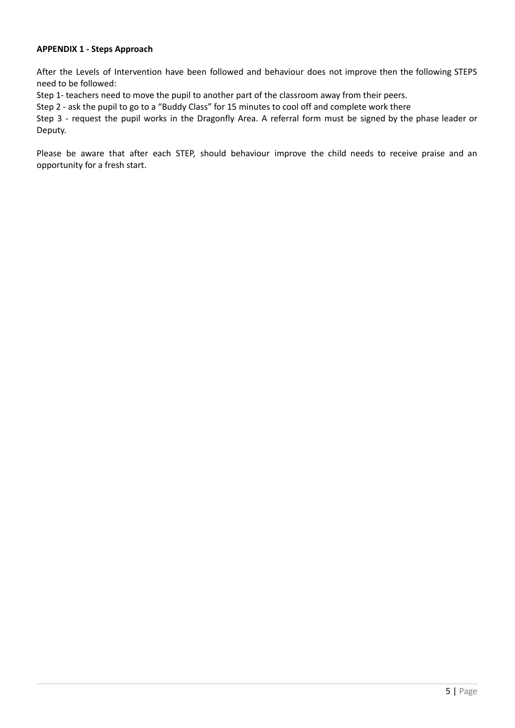## **APPENDIX 1 - Steps Approach**

After the Levels of Intervention have been followed and behaviour does not improve then the following STEPS need to be followed:

Step 1- teachers need to move the pupil to another part of the classroom away from their peers.

Step 2 - ask the pupil to go to a "Buddy Class" for 15 minutes to cool off and complete work there

Step 3 - request the pupil works in the Dragonfly Area. A referral form must be signed by the phase leader or Deputy.

Please be aware that after each STEP, should behaviour improve the child needs to receive praise and an opportunity for a fresh start.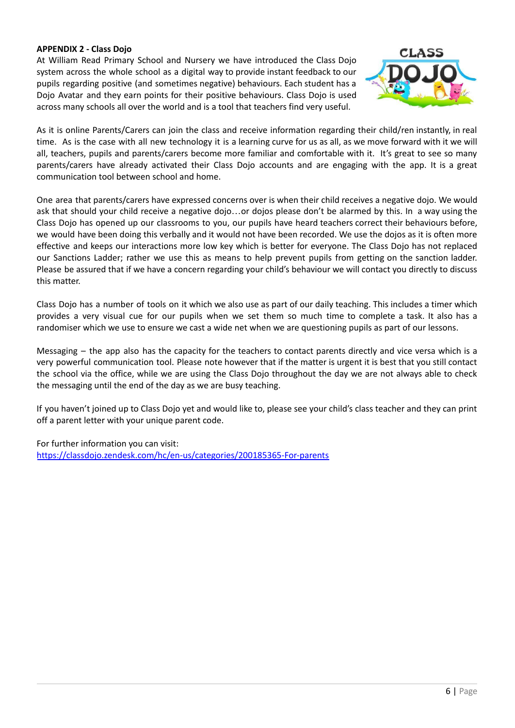# **APPENDIX 2 - Class Dojo**

At William Read Primary School and Nursery we have introduced the Class Dojo system across the whole school as a digital way to provide instant feedback to our pupils regarding positive (and sometimes negative) behaviours. Each student has a Dojo Avatar and they earn points for their positive behaviours. Class Dojo is used across many schools all over the world and is a tool that teachers find very useful.



As it is online Parents/Carers can join the class and receive information regarding their child/ren instantly, in real time. As is the case with all new technology it is a learning curve for us as all, as we move forward with it we will all, teachers, pupils and parents/carers become more familiar and comfortable with it. It's great to see so many parents/carers have already activated their Class Dojo accounts and are engaging with the app. It is a great communication tool between school and home.

One area that parents/carers have expressed concerns over is when their child receives a negative dojo. We would ask that should your child receive a negative dojo…or dojos please don't be alarmed by this. In a way using the Class Dojo has opened up our classrooms to you, our pupils have heard teachers correct their behaviours before, we would have been doing this verbally and it would not have been recorded. We use the dojos as it is often more effective and keeps our interactions more low key which is better for everyone. The Class Dojo has not replaced our Sanctions Ladder; rather we use this as means to help prevent pupils from getting on the sanction ladder. Please be assured that if we have a concern regarding your child's behaviour we will contact you directly to discuss this matter.

Class Dojo has a number of tools on it which we also use as part of our daily teaching. This includes a timer which provides a very visual cue for our pupils when we set them so much time to complete a task. It also has a randomiser which we use to ensure we cast a wide net when we are questioning pupils as part of our lessons.

Messaging – the app also has the capacity for the teachers to contact parents directly and vice versa which is a very powerful communication tool. Please note however that if the matter is urgent it is best that you still contact the school via the office, while we are using the Class Dojo throughout the day we are not always able to check the messaging until the end of the day as we are busy teaching.

If you haven't joined up to Class Dojo yet and would like to, please see your child's class teacher and they can print off a parent letter with your unique parent code.

For further information you can visit: https://classdojo.zendesk.com/hc/en-us/categories/200185365-For-parents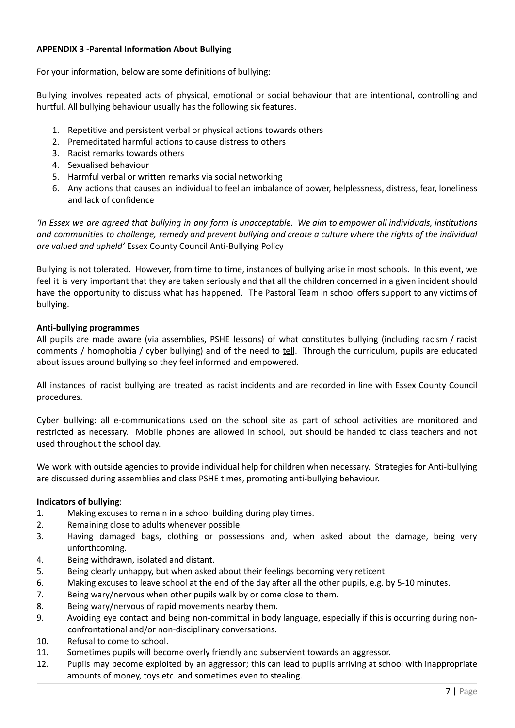# **APPENDIX 3 -Parental Information About Bullying**

For your information, below are some definitions of bullying:

Bullying involves repeated acts of physical, emotional or social behaviour that are intentional, controlling and hurtful. All bullying behaviour usually has the following six features.

- 1. Repetitive and persistent verbal or physical actions towards others
- 2. Premeditated harmful actions to cause distress to others
- 3. Racist remarks towards others
- 4. Sexualised behaviour
- 5. Harmful verbal or written remarks via social networking
- 6. Any actions that causes an individual to feel an imbalance of power, helplessness, distress, fear, loneliness and lack of confidence

'In Essex we are agreed that bullying in any form is unacceptable. We aim to empower all individuals, institutions and communities to challenge, remedy and prevent bullying and create a culture where the rights of the individual *are valued and upheld'* Essex County Council Anti-Bullying Policy

Bullying is not tolerated. However, from time to time, instances of bullying arise in most schools. In this event, we feel it is very important that they are taken seriously and that all the children concerned in a given incident should have the opportunity to discuss what has happened. The Pastoral Team in school offers support to any victims of bullying.

## **Anti-bullying programmes**

All pupils are made aware (via assemblies, PSHE lessons) of what constitutes bullying (including racism / racist comments / homophobia / cyber bullying) and of the need to **tell.** Through the curriculum, pupils are educated about issues around bullying so they feel informed and empowered.

All instances of racist bullying are treated as racist incidents and are recorded in line with Essex County Council procedures.

Cyber bullying: all e-communications used on the school site as part of school activities are monitored and restricted as necessary. Mobile phones are allowed in school, but should be handed to class teachers and not used throughout the school day.

We work with outside agencies to provide individual help for children when necessary. Strategies for Anti-bullying are discussed during assemblies and class PSHE times, promoting anti-bullying behaviour.

## **Indicators of bullying**:

- 1. Making excuses to remain in a school building during play times.
- 2. Remaining close to adults whenever possible.
- 3. Having damaged bags, clothing or possessions and, when asked about the damage, being very unforthcoming.
- 4. Being withdrawn, isolated and distant.
- 5. Being clearly unhappy, but when asked about their feelings becoming very reticent.
- 6. Making excuses to leave school at the end of the day after all the other pupils, e.g. by 5-10 minutes.
- 7. Being wary/nervous when other pupils walk by or come close to them.
- 8. Being wary/nervous of rapid movements nearby them.
- 9. Avoiding eye contact and being non-committal in body language, especially if this is occurring during nonconfrontational and/or non-disciplinary conversations.
- 10. Refusal to come to school.
- 11. Sometimes pupils will become overly friendly and subservient towards an aggressor.
- 12. Pupils may become exploited by an aggressor; this can lead to pupils arriving at school with inappropriate amounts of money, toys etc. and sometimes even to stealing.